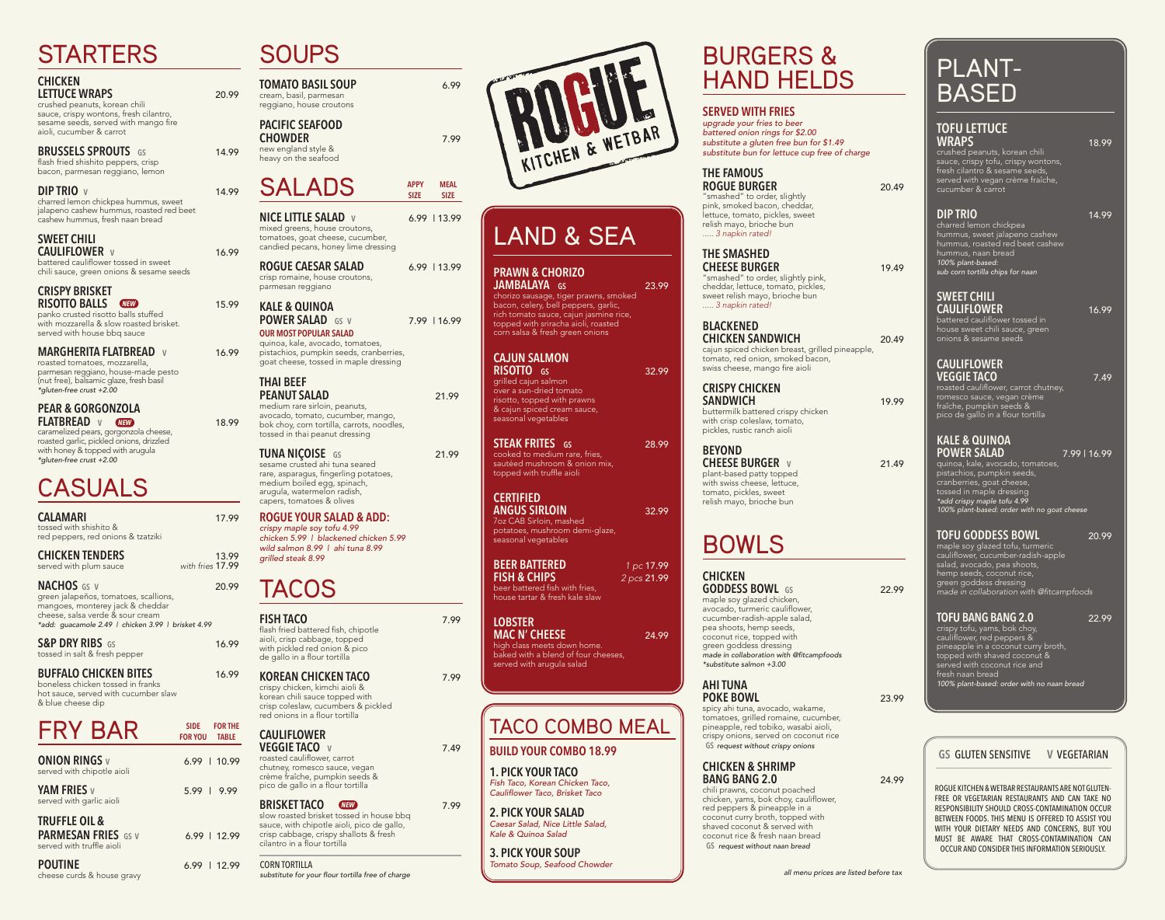## **STARTERS**

#### **CHICKEN**

**LETTUCE WRAPS** 20.99 crushed peanuts, korean chili sauce, crispy wontons, fresh cilantro, sesame seeds, served with mango fire aioli, cucumber & carrot

#### **BRUSSELS SPROUTS** GS 14.99

flash fried shishito peppers, crisp bacon, parmesan reggiano, lemon

**DIP TRIO** V 14.99<br>
charred lemon chickpea hummus, sweet jalapeno cashew hummus, roasted red beet cashew hummus, fresh naan bread

## **SWEET CHILI<br>CAULIFLOWER** v

**CAULIFLOWER v** 16.99<br> **battered cauliflower tossed in sweet** chili sauce, green onions & sesame seeds

## **CRISPY BRISKET**

**RISOTTO BALLS** *NEW*15.99panko crusted risotto balls stuffed with mozzarella & slow roasted brisket. served with house bbg sauce

## **MARGHERITA FLATBREAD V** 16.99<br> **roasted tomatoes, mozzarella,**

parmesan reggiano, house-made pesto (nut free), balsamic glaze, fresh basil *\*gluten-free crust +2.00*

### **PEAR & GORGONZOLA**<br>**FLATBREAD V FLATBREAD V** *NEW* 18.99caramelized pears, gorgonzola cheese,

roasted garlic, pickled onions, drizzled with honey & topped with arugula *\*gluten-free crust +2.00*

# CASUALS

**CALAMARI** 17.99 tossed with shishito & red peppers, red onions & tzatziki

| <b>CHICKEN TENDERS</b> | 13.99            |
|------------------------|------------------|
| served with plum sauce | with fries 17.99 |

**NACHOS GS V** 20.99 green jalapeños, tomatoes, scallions, mangoes, monterey jack & cheddar cheese, salsa verde & sour cream *\*add: guacamole 2.49 | chicken 3.99 | brisket 4.99* 

## **S&P DRY RIBS** GS 16.99

tossed in salt & fresh pepper

#### **BUFFALO CHICKEN BITES** 16.99 boneless chicken tossed in franks hot sauce, served with cucumber slaw

& blue cheese dip

## FRY BAR

| <b>ONION RINGS</b> v<br>served with chipotle aioli                                  |  | $6.99$   10.99 |
|-------------------------------------------------------------------------------------|--|----------------|
| <b>YAM FRIES</b> v<br>served with garlic aioli                                      |  | $5.99$   9.99  |
| <b>TRUFFLE OIL &amp;</b><br><b>PARMESAN FRIES</b> GS V<br>served with truffle aioli |  | $6.99$   12.99 |

**POUTINE** 6.99 | 12.99 cheese curds & house gravy

## SOLIDS

| <b>TOMATO BASIL SOUP</b><br>cream, basil, parmesan<br>reggiano, house croutons                                                                                                                               |                     | 6.99                |
|--------------------------------------------------------------------------------------------------------------------------------------------------------------------------------------------------------------|---------------------|---------------------|
| <b>PACIFIC SEAFOOD</b><br><b>CHOWDER</b><br>new england style &<br>heavy on the seafood                                                                                                                      |                     | 7.99                |
| <b>SALADS</b>                                                                                                                                                                                                | <b>APPY</b><br>SIZE | <b>MEAL</b><br>SIZE |
| <b>NICE LITTLE SALAD V</b><br>mixed greens, house croutons,<br>tomatoes, goat cheese, cucumber,<br>candied pecans, honey lime dressing                                                                       |                     | 6.99 113.99         |
| <b>ROGUE CAESAR SALAD</b><br>crisp romaine, house croutons,<br>parmesan reggiano                                                                                                                             |                     | 6.99   13.99        |
| <b>KALE &amp; QUINOA</b><br><b>POWER SALAD</b> GS V<br><b>OUR MOST POPULAR SALAD</b><br>quinoa, kale, avocado, tomatoes,<br>pistachios, pumpkin seeds, cranberries,<br>goat cheese, tossed in maple dressing |                     | 7.99   16.99        |
| <b>THAI BEEF</b><br><b>PEANUT SALAD</b><br>medium rare sirloin, peanuts,<br>avocado, tomato, cucumber, mango,<br>bok choy, corn tortilla, carrots, noodles,<br>tossed in thai peanut dressing                |                     | 21.99               |
| TUNA NIÇOISE<br>- GS<br>sesame crusted ahi tuna seared<br>rare, asparagus, fingerling potatoes,<br>medium boiled egg, spinach,<br>arugula, watermelon radish,<br>capers, tomatoes & olives                   |                     | 21.99               |
| <b>ROGUE YOUR SALAD &amp; ADD:</b><br>crispy maple soy tofu 4.99<br>chicken 5.99   blackened chicken 5.99<br>wild salmon 8.99   ahi tuna 8.99<br>grilled steak 8.99                                          |                     |                     |
| <b>TACOS</b>                                                                                                                                                                                                 |                     |                     |

# **FISH TACO** 7.99<br>**flash fried battered fish, chipotle** 7.99

aioli, crisp cabbage, topped with pickled red onion & pico de gallo in a flour tortilla

**KOREAN CHICKEN TACO** 7.99 crispy chicken, kimchi aioli & korean chili sauce topped with crisp coleslaw, cucumbers & pickled red onions in a flour tortilla

#### **CAULIFLOWER VEGGIE TACO V** 7.49

**SIDE FOR THE**<br>**FOR YOU** TARLE **FOR TABLE** 

> roasted cauliflower, carrot chutney, romesco sauce, vegan crème fraîche, pumpkin seeds & pico de gallo in a flour tortilla

#### **BRISKET TACO** *NEW* 7.99 slow roasted brisket tossed in house bbq

sauce, with chipotle aioli, pico de gallo, crisp cabbage, crispy shallots & fresh cilantro in a flour tortilla

CORN TORTILLA substitute for your flour tortilla free of charge



## LAND & SEA

**PRAWN & CHORIZO JAMBALAYA GS** 23.99 chorizo sausage, tiger prawns, smoked bacon, celery, bell peppers, garlic, rich tomato sauce, cajun jasmine rice, topped with sriracha aioli, roasted corn salsa & fresh green onions

## **CAJUN SALMON**

**RISOTTO GS** 32.99grilled cajun salmon over a sun-dried tomato risotto, topped with prawns & cajun spiced cream sauce, seasonal vegetables

**STEAK FRITES** GS 28.99<br>
cooked to medium rare, fries, sautéed mushroom & onion mix, topped with truffle aioli

**CERTIFIED ANGUS SIRLOIN** 32.997oz CAB Sirloin, mashed potatoes, mushroom demi-glaze, seasonal vegetables

**BEER BATTERED** *1 pc* 17.99 **FISH & CHIPS** *2 pcs* 21.99 beer battered fish with fries, house tartar & fresh kale slaw

**LOBSTER MAC N' CHEESE** 24.99 high class meets down home. baked with a blend of four cheeses, served with arugula salad

## TACO COMBO MEAL

**BUILD YOUR COMBO 18.99** 

**1. PICK YOUR TACO** *Fish Taco, Korean Chicken Taco,*  Cauliflower Taco, Brisket Taco

**2. PICK YOUR SALAD** *Caesar Salad, Nice Little Salad, Kale & Quinoa Salad* 

**3. PICK YOUR SOUP** *Tomato Soup, Seafood Chowder* 

## BURGERS & HAND HELDS

#### **SERVED WITH FRIES**

*upgrade your fries to beer battered onion rings for \$2.00 substitute a gluten free bun for \$1.49 substitute bun for lettuce cup free of charge*

#### **THE FAMOUS**

**ROGUE BURGER** 20.49 "smashed" to order, slightly pink, smoked bacon, cheddar, lettuce, tomato, pickles, sweet relish mayo, brioche bun ..... *3 napkin rated!*

#### **THE SMASHED CHEESE BURGER** 19.49

"smashed" to order, slightly pink, cheddar, lettuce, tomato, pickles, sweet relish mayo, brioche bun ..... *3 napkin rated!*

#### **BLACKENED**

**CHICKEN SANDWICH** 20.49 cajun spiced chicken breast, grilled pineapple, tomato, red onion, smoked bacon, swiss cheese, mango fire aioli

#### **CRISPY CHICKEN SANDWICH** 19.99

buttermilk battered crispy chicken with crisp coleslaw, tomato, pickles, rustic ranch aioli

### **BEYOND**

**CHEESE BURGER V** 21.49 plant-based patty topped with swiss cheese, lettuce, tomato, pickles, sweet relish mayo, brioche bun

# BOWLS

**CHICKEN**<br>**GODDESS BOWL** GS **GODDESS BOWL** 65 22.99 **maple soy glazed chicken,** avocado, turmeric cauliflower, cucumber-radish-apple salad, pea shoots, hemp seeds, coconut rice, topped with green goddess dressing made in collaboration with @fitcampfoods

tomatoes, grilled romaine, cucumber, pineapple, red tobiko, wasabi aioli, crispy onions, served on coconut rice  **GS** *request without crispy onions*

#### **CHICKEN & SHRIMP BANG BANG 2.0** 24.99

chili prawns, coconut poached chicken, yams, bok choy, cauliflower, red peppers & pineapple in a coconut curry broth, topped with shaved coconut & served with coconut rice & fresh naan bread  **GS** *request without naan bread*

*all menu prices are listed before tax*

## PLANT-**BASED**

#### **TOFU LETTUCE WRAPS** 18.99crushed peanuts, korean chili sauce, crispy tofu, crispy wontons, fresh cilantro & sesame seeds, served with vegan crème fraîche, cucumber & carrot **DIP TRIO** 14.99charred lemon chickpea hummus, sweet jalapeno cashew hummus, roasted red beet cashew hummus, naan bread *100% plant-based: sub corn tortilla chips for naan* **SWEET CHILI**

**CAULIFLOWER** 16.99battered cauliflower tossed in house sweet chili sauce, green onions & sesame seeds

#### **CAULIFLOWER VEGGIE TACO** 7.49

roasted cauliflower, carrot chutney, romesco sauce, vegan crème fraîche, pumpkin seeds & pico de gallo in a flour tortilla

## **KALE & QUINOA**

**POWER SALAD** 7.99 | 16.99 quinoa, kale, avocado, tomatoes,

- 
- pistachios, pumpkin seeds, cranberries, goat cheese, tossed in maple dressing *\*add crispy maple tofu 4.99 100% plant-based: order with no goat cheese*

**TOFU GODDESS BOWL** 20.99 maple soy glazed tofu, turmeric cauliflower, cucumber-radish-apple salad, avocado, pea shoots, hemp seeds, coconut rice, green goddess dressing

made in collaboration with @fitcampfoods

#### **TOFU BANG BANG 2.0** 22.99 crispy tofu, yams, bok choy, cauliflower, red peppers & pineapple in a coconut curry broth,

topped with shaved coconut & served with coconut rice and fresh naan bread *100% plant-based: order with no naan bread*

#### **GS** GLUTEN SENSITIVE **V** VEGETARIAN

ROGUE KITCHEN & WETBAR RESTAURANTS ARE NOT GLUTEN-FREE OR VEGETARIAN RESTAURANTS AND CAN TAKE NO RESPONSIBILITY SHOULD CROSS-CONTAMINATION OCCUR BETWEEN FOODS. THIS MENU IS OFFERED TO ASSIST YOU WITH YOUR DIETARY NEEDS AND CONCERNS, BUT YOU MUST BE AWARE THAT CROSS-CONTAMINATION CAN OCCUR AND CONSIDER THIS INFORMATION SERIOUSLY.

*\*substitute salmon +3.00* 

**POKE BOWL** 23.99spicy ahi tuna, avocado, wakame,



# **AHI TUNA**